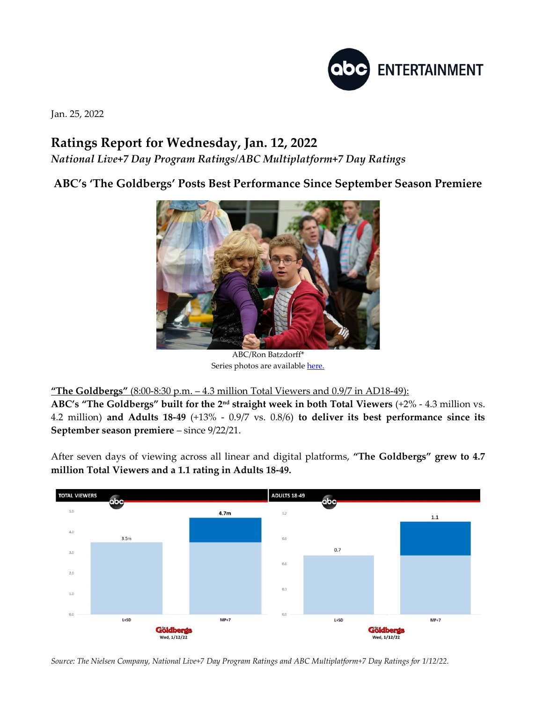

Jan. 25, 2022

## **Ratings Report for Wednesday, Jan. 12, 2022**

*National Live+7 Day Program Ratings/ABC Multiplatform+7 Day Ratings*

**ABC's 'The Goldbergs' Posts Best Performance Since September Season Premiere**



ABC/Ron Batzdorff\* Series photos are availabl[e here.](https://www.dgepress.com/abc/shows/)

**"The Goldbergs"** (8:00-8:30 p.m. – 4.3 million Total Viewers and 0.9/7 in AD18-49):

**ABC's "The Goldbergs" built for the 2nd straight week in both Total Viewers** (+2% - 4.3 million vs. 4.2 million) **and Adults 18-49** (+13% - 0.9/7 vs. 0.8/6) **to deliver its best performance since its September season premiere** – since 9/22/21.

After seven days of viewing across all linear and digital platforms, **"The Goldbergs" grew to 4.7 million Total Viewers and a 1.1 rating in Adults 18-49.**



*Source: The Nielsen Company, National Live+7 Day Program Ratings and ABC Multiplatform+7 Day Ratings for 1/12/22.*